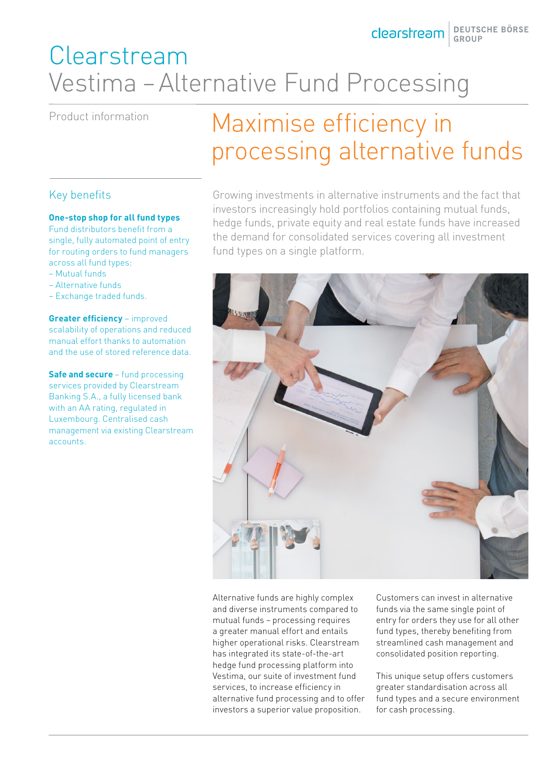Clearstream BEUTSCHE BÖRSE

# Clearstream Vestima – Alternative Fund Processing

### Product information

### Key benefits

#### **One-stop shop for all fund types**

Fund distributors benefit from a single, fully automated point of entry for routing orders to fund managers across all fund types:

- Mutual funds
- Alternative funds
- Exchange traded funds.

**Greater efficiency** – improved scalability of operations and reduced manual effort thanks to automation and the use of stored reference data.

**Safe and secure** – fund processing services provided by Clearstream Banking S.A., a fully licensed bank with an AA rating, regulated in Luxembourg. Centralised cash management via existing Clearstream accounts.

# Maximise efficiency in processing alternative funds

Growing investments in alternative instruments and the fact that investors increasingly hold portfolios containing mutual funds, hedge funds, private equity and real estate funds have increased the demand for consolidated services covering all investment fund types on a single platform.



Alternative funds are highly complex and diverse instruments compared to mutual funds – processing requires a greater manual effort and entails higher operational risks. Clearstream has integrated its state-of-the-art hedge fund processing platform into Vestima, our suite of investment fund services, to increase efficiency in alternative fund processing and to offer investors a superior value proposition.

Customers can invest in alternative funds via the same single point of entry for orders they use for all other fund types, thereby benefiting from streamlined cash management and consolidated position reporting.

This unique setup offers customers greater standardisation across all fund types and a secure environment for cash processing.